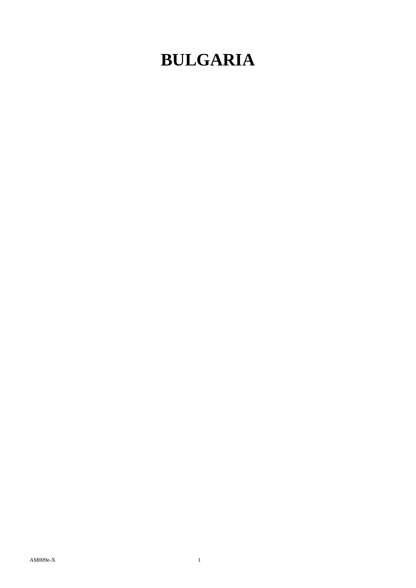## **BULGARIA**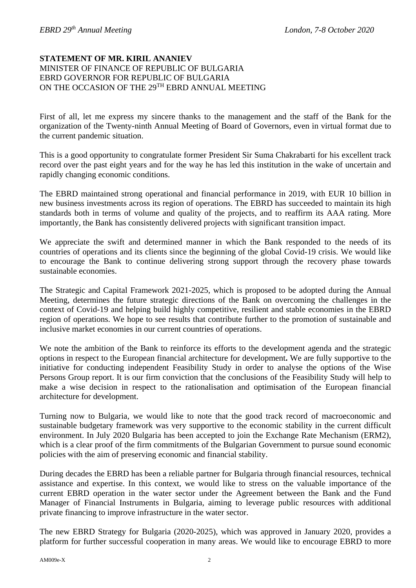## **STATEMENT OF MR. KIRIL ANANIEV**  MINISTER OF FINANCE OF REPUBLIC OF BULGARIA EBRD GOVERNOR FOR REPUBLIC OF BULGARIA ON THE OCCASION OF THE 29TH EBRD ANNUAL MEETING

First of all, let me express my sincere thanks to the management and the staff of the Bank for the organization of the Twenty-ninth Annual Meeting of Board of Governors, even in virtual format due to the current pandemic situation.

This is a good opportunity to congratulate former President Sir Suma Chakrabarti for his excellent track record over the past eight years and for the way he has led this institution in the wake of uncertain and rapidly changing economic conditions.

The EBRD maintained strong operational and financial performance in 2019, with EUR 10 billion in new business investments across its region of operations. The EBRD has succeeded to maintain its high standards both in terms of volume and quality of the projects, and to reaffirm its AAA rating. More importantly, the Bank has consistently delivered projects with significant transition impact.

We appreciate the swift and determined manner in which the Bank responded to the needs of its countries of operations and its clients since the beginning of the global Covid-19 crisis. We would like to encourage the Bank to continue delivering strong support through the recovery phase towards sustainable economies.

The Strategic and Capital Framework 2021-2025, which is proposed to be adopted during the Annual Meeting, determines the future strategic directions of the Bank on overcoming the challenges in the context of Covid-19 and helping build highly competitive, resilient and stable economies in the EBRD region of operations. We hope to see results that contribute further to the promotion of sustainable and inclusive market economies in our current countries of operations.

We note the ambition of the Bank to reinforce its efforts to the development agenda and the strategic options in respect to the European financial architecture for development**.** We are fully supportive to the initiative for conducting independent Feasibility Study in order to analyse the options of the Wise Persons Group report. It is our firm conviction that the conclusions of the Feasibility Study will help to make a wise decision in respect to the rationalisation and optimisation of the European financial architecture for development.

Turning now to Bulgaria, we would like to note that the good track record of macroeconomic and sustainable budgetary framework was very supportive to the economic stability in the current difficult environment. In July 2020 Bulgaria has been accepted to join the Exchange Rate Mechanism (ERM2), which is a clear proof of the firm commitments of the Bulgarian Government to pursue sound economic policies with the aim of preserving economic and financial stability.

During decades the EBRD has been a reliable partner for Bulgaria through financial resources, technical assistance and expertise. In this context, we would like to stress on the valuable importance of the current EBRD operation in the water sector under the Agreement between the Bank and the Fund Manager of Financial Instruments in Bulgaria, aiming to leverage public resources with additional private financing to improve infrastructure in the water sector.

The new EBRD Strategy for Bulgaria (2020-2025), which was approved in January 2020, provides a platform for further successful cooperation in many areas. We would like to encourage EBRD to more